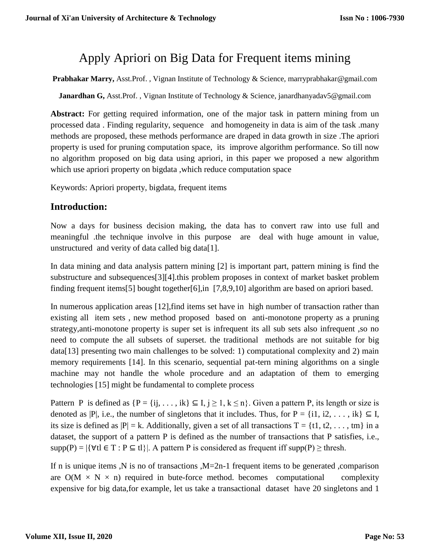# Apply Apriori on Big Data for Frequent items mining

**Prabhakar Marry,** Asst.Prof. , Vignan Institute of Technology & Science, [marryprabhakar@gmail.com](mailto:marryprabhakar@gmail.com)

**Janardhan G,** Asst.Prof., Vignan Institute of Technology & Science, [janardhanyadav5@gmail.com](mailto:janardhanyadav5@gmail.com)

**Abstract:** For getting required information, one of the major task in pattern mining from un processed data . Finding regularity, sequence and homogeneity in data is aim of the task .many methods are proposed, these methods performance are draped in data growth in size .The apriori property is used for pruning computation space, its improve algorithm performance. So till now no algorithm proposed on big data using apriori, in this paper we proposed a new algorithm which use apriori property on bigdata ,which reduce computation space

Keywords: Apriori property, bigdata, frequent items

# **Introduction:**

Now a days for business decision making, the data has to convert raw into use full and meaningful .the technique involve in this purpose are deal with huge amount in value, unstructured and verity of data called big data[1].

In data mining and data analysis pattern mining [2] is important part, pattern mining is find the substructure and subsequences[3][4].this problem proposes in context of market basket problem finding frequent items[5] bought together[6],in [7,8,9,10] algorithm are based on apriori based.

In numerous application areas [12],find items set have in high number of transaction rather than existing all item sets , new method proposed based on anti-monotone property as a pruning strategy,anti-monotone property is super set is infrequent its all sub sets also infrequent ,so no need to compute the all subsets of superset. the traditional methods are not suitable for big data[13] presenting two main challenges to be solved: 1) computational complexity and 2) main memory requirements [14]. In this scenario, sequential pat-tern mining algorithms on a single machine may not handle the whole procedure and an adaptation of them to emerging technologies [15] might be fundamental to complete process

Pattern P is defined as  $\{P = \{ij, ..., ik\} \subseteq I, j \ge 1, k \le n\}$ . Given a pattern P, its length or size is denoted as |P|, i.e., the number of singletons that it includes. Thus, for P = {i1, i2, ..., ik}  $\subseteq$  I, its size is defined as  $|P| = k$ . Additionally, given a set of all transactions  $T = \{t1, t2, \ldots, t m\}$  in a dataset, the support of a pattern P is defined as the number of transactions that P satisfies, i.e.,  $supp(P) = |\{\forall t | \in T : P \subseteq t\}|$ . A pattern P is considered as frequent iff  $supp(P) \geq$  thresh.

If n is unique items ,N is no of transactions  $,M=2n-1$  frequent items to be generated ,comparison are  $O(M \times N \times n)$  required in bute-force method. becomes computational complexity expensive for big data,for example, let us take a transactional dataset have 20 singletons and 1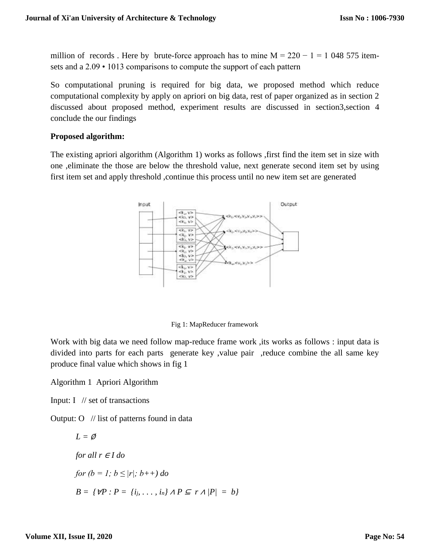million of records. Here by brute-force approach has to mine  $M = 220 - 1 = 1048575$  itemsets and a 2.09 • 1013 comparisons to compute the support of each pattern

So computational pruning is required for big data, we proposed method which reduce computational complexity by apply on apriori on big data, rest of paper organized as in section 2 discussed about proposed method, experiment results are discussed in section3,section 4 conclude the our findings

#### **Proposed algorithm:**

The existing apriori algorithm (Algorithm 1) works as follows ,first find the item set in size with one ,eliminate the those are below the threshold value, next generate second item set by using first item set and apply threshold ,continue this process until no new item set are generated



Fig 1: MapReducer framework

Work with big data we need follow map-reduce frame work, its works as follows : input data is divided into parts for each parts generate key ,value pair ,reduce combine the all same key produce final value which shows in fig 1

Algorithm 1 Apriori Algorithm

Input: I // set of transactions

Output:  $O$  // list of patterns found in data

$$
L = \emptyset
$$
  
for all  $r \in I$  do  
for  $(b = 1; b \le |r|; b++)$  do  

$$
B = \{ \forall P : P = \{i_j, ..., i_n\} \land P \subseteq r \land |P| = b \}
$$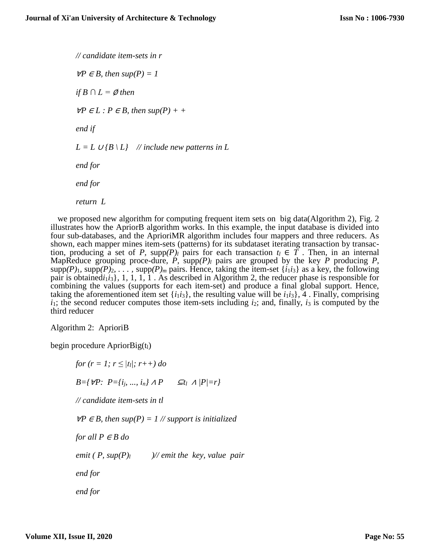*// candidate item-sets in r*  $∀P ∈ B$ , then sup(P) = 1 *if*  $B$  ∩  $L = \emptyset$  *then ∀P*  $\in$  *L* : *P*  $\in$  *B*, then sup(*P*) + + *end if*  $L = L \cup \{B \setminus L\}$  // include new patterns in L *end for end for return L*

we proposed new algorithm for computing frequent item sets on big data(Algorithm 2), Fig. 2 illustrates how the ApriorB algorithm works. In this example, the input database is divided into four sub-databases, and the AprioriMR algorithm includes four mappers and three reducers. As shown, each mapper mines item-sets (patterns) for its subdataset iterating transaction by transaction, producing a set of *P*, supp $(P)$ *l* pairs for each transaction  $t_l \in T$ . Then, in an internal MapReduce grouping proce-dure, *P,* supp*(P)<sup>l</sup>* pairs are grouped by the key *P* producing *P,* supp $(P)$ <sub>1</sub>, supp $(P)$ <sub>2</sub>, ..., supp $(P)$ <sub>*m*</sub> pairs. Hence, taking the item-set {*i*<sub>1</sub>*i*<sub>3</sub>} as a key, the following pair is obtained $i_1 i_3$ , 1, 1, 1, 1, 1, 1. As described in Algorithm 2, the reducer phase is responsible for combining the values (supports for each item-set) and produce a final global support. Hence, taking the aforementioned item set  $\{i_1 i_3\}$ , the resulting value will be  $i_1 i_3$ , 4. Finally, comprising  $i_1$ ; the second reducer computes those item-sets including  $i_2$ ; and, finally,  $i_3$  is computed by the third reducer

Algorithm 2: AprioriB

begin procedure  $A$ prior $Big(t_1)$ 

*for*  $(r = 1; r \le |t_1|; r++)$  *do B={*∀*P: P={ij, ..., in}* <sup>∧</sup> *P* <sup>⊆</sup>*t<sup>l</sup>* <sup>∧</sup> *|P|=r} // candidate item-sets in tl*  $∀P ∈ B$ , then sup(P) = 1 // support is initialized *for all*  $P \in B$  *do emit ( P, sup(P)<sup>l</sup> )// emit the key, value pair end for end for*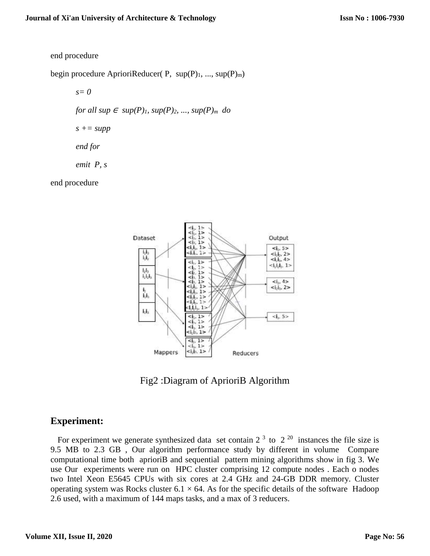#### end procedure

begin procedure AprioriReducer( P,  $sup(P)_{1}$ , ...,  $sup(P)_{m}$ )

*s= 0*

*for all sup*  $\in$  *sup*(*P*)*<sub>1</sub>, sup*(*P*)<sub>*2, ..., sup*(*P*)*m do*</sub>

 $s$  +=  $supp$ 

*end for*

*emit P, s*

end procedure



Fig2 :Diagram of AprioriB Algorithm

# **Experiment:**

For experiment we generate synthesized data set contain  $2^3$  to  $2^{20}$  instances the file size is 9.5 MB to 2.3 GB , Our algorithm performance study by different in volume Compare computational time both aprioriB and sequential pattern mining algorithms show in fig 3. We use Our experiments were run on HPC cluster comprising 12 compute nodes . Each o nodes two Intel Xeon E5645 CPUs with six cores at 2.4 GHz and 24-GB DDR memory. Cluster operating system was Rocks cluster  $6.1 \times 64$ . As for the specific details of the software Hadoop 2.6 used, with a maximum of 144 maps tasks, and a max of 3 reducers.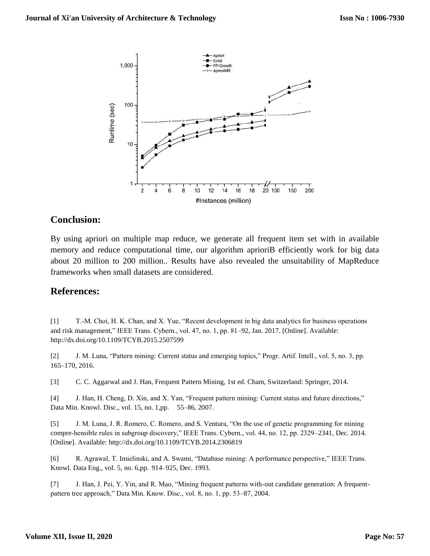

## **Conclusion:**

By using apriori on multiple map reduce, we generate all frequent item set with in available memory and reduce computational time, our algorithm aprioriB efficiently work for big data about 20 million to 200 million.. Results have also revealed the unsuitability of MapReduce frameworks when small datasets are considered.

### **References:**

[1] T.-M. Choi, H. K. Chan, and X. Yue, "Recent development in big data analytics for business operations and risk management," IEEE Trans. Cybern., vol. 47, no. 1, pp. 81–92, Jan. 2017. [Online]. Available: http://dx.doi.org/10.1109/TCYB.2015.2507599

[2] J. M. Luna, "Pattern mining: Current status and emerging topics," Progr. Artif. Intell., vol. 5, no. 3, pp. 165–170, 2016.

[3] C. C. Aggarwal and J. Han, Frequent Pattern Mining, 1st ed. Cham, Switzerland: Springer, 2014.

[4] J. Han, H. Cheng, D. Xin, and X. Yan, "Frequent pattern mining: Current status and future directions," Data Min. Knowl. Disc., vol. 15, no. 1,pp. 55–86, 2007.

[5] J. M. Luna, J. R. Romero, C. Romero, and S. Ventura, "On the use of genetic programming for mining compre-hensible rules in subgroup discovery," IEEE Trans. Cybern., vol. 44, no. 12, pp. 2329–2341, Dec. 2014. [Online]. Available: http://dx.doi.org/10.1109/TCYB.2014.2306819

[6] R. Agrawal, T. Imielinski, and A. Swami, "Database mining: A performance perspective," IEEE Trans. Knowl. Data Eng., vol. 5, no. 6,pp. 914–925, Dec. 1993.

[7] J. Han, J. Pei, Y. Yin, and R. Mao, "Mining frequent patterns with-out candidate generation: A frequentpattern tree approach," Data Min. Know. Disc., vol. 8, no. 1, pp. 53–87, 2004.